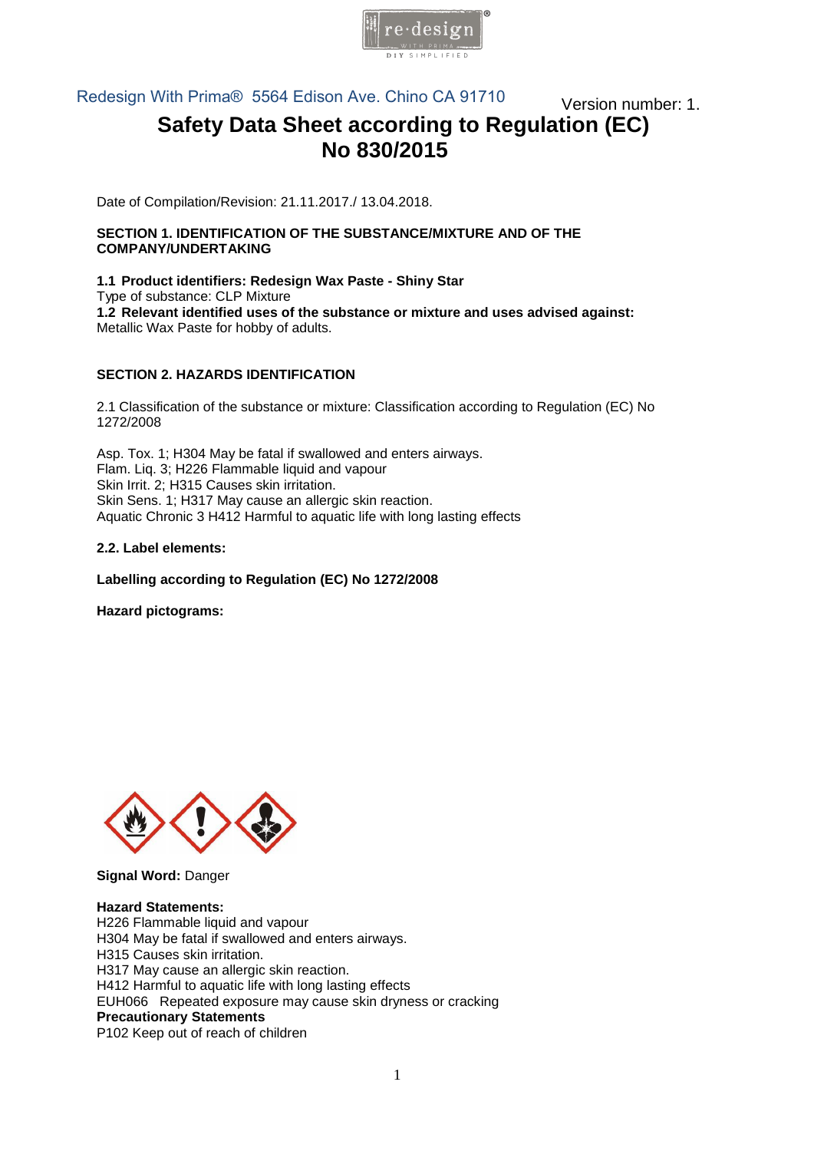

Redesign With Prima® 5564 Edison Ave. Chino CA 91710 **Wersion number: 1.** 

# **Safety Data Sheet according to Regulation (EC) No 830/2015**

Date of Compilation/Revision: 21.11.2017./ 13.04.2018.

#### **SECTION 1. IDENTIFICATION OF THE SUBSTANCE/MIXTURE AND OF THE COMPANY/UNDERTAKING**

**1.1 Product identifiers: Redesign Wax Paste - Shiny Star**  Type of substance: CLP Mixture **1.2 Relevant identified uses of the substance or mixture and uses advised against:**  Metallic Wax Paste for hobby of adults.

## **SECTION 2. HAZARDS IDENTIFICATION**

2.1 Classification of the substance or mixture: Classification according to Regulation (EC) No 1272/[2008](mailto:info@pentacolor.hu) 

Asp. Tox. 1; H304 May be fatal if swallowed and enters airways. Flam. Liq. 3; H226 Flammable liquid and vapour Skin Irrit. 2; H315 Causes skin irritation. Skin Sens. 1; H317 May cause an allergic skin reaction. Aquatic Chronic 3 H412 Harmful to aquatic life with long lasting effects

## **2.2. Label elements:**

#### **Labelling according to Regulation (EC) No 1272/2008**

**Hazard pictograms:** 



**Signal Word:** Danger

**Hazard Statements:**  H226 Flammable liquid and vapour H304 May be fatal if swallowed and enters airways. H315 Causes skin irritation. H317 May cause an allergic skin reaction. H412 Harmful to aquatic life with long lasting effects EUH066 Repeated exposure may cause skin dryness or cracking **Precautionary Statements**  P102 Keep out of reach of children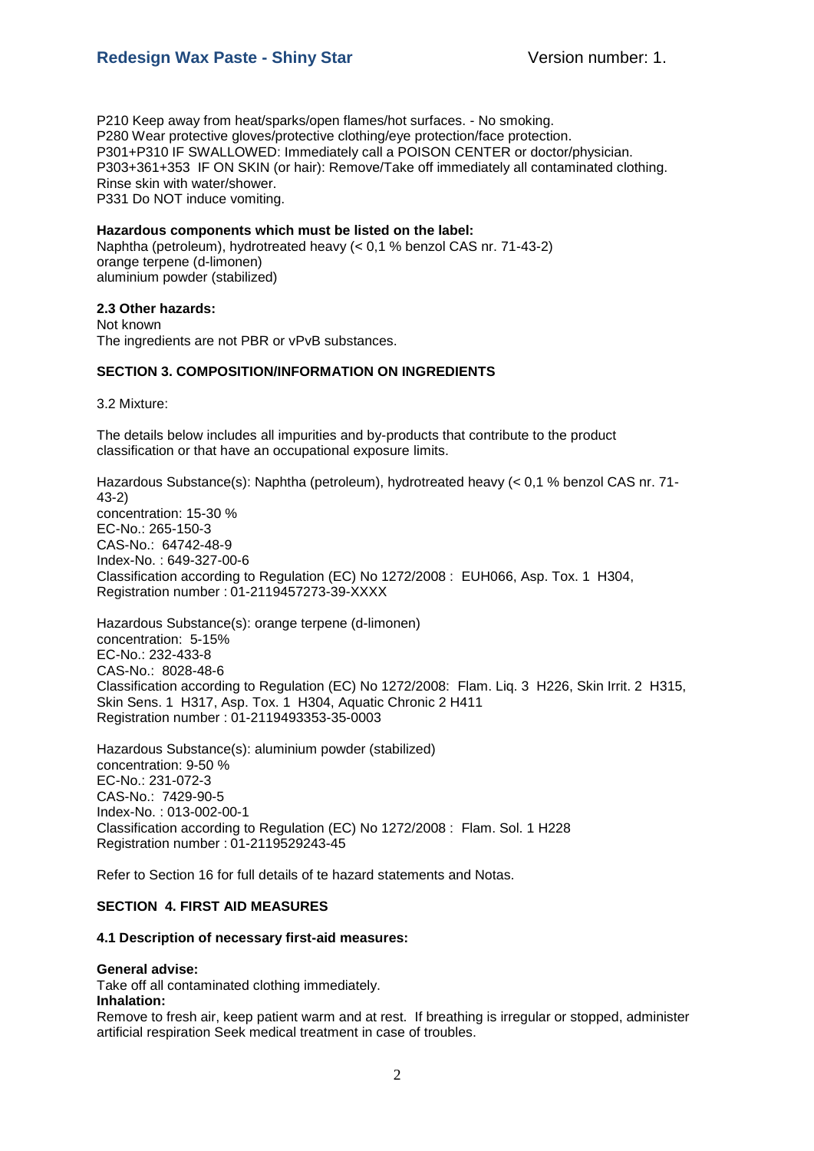P210 Keep away from heat/sparks/open flames/hot surfaces. - No smoking. P280 Wear protective gloves/protective clothing/eye protection/face protection. P301+P310 IF SWALLOWED: Immediately call a POISON CENTER or doctor/physician. P303+361+353 IF ON SKIN (or hair): Remove/Take off immediately all contaminated clothing. Rinse skin with water/shower. P331 Do NOT induce vomiting.

#### **Hazardous components which must be listed on the label:**

Naphtha (petroleum), hydrotreated heavy (< 0,1 % benzol CAS nr. 71-43-2) orange terpene (d-limonen) aluminium powder (stabilized)

#### **2.3 Other hazards:**

Not known The ingredients are not PBR or vPvB substances.

## **SECTION 3. COMPOSITION/INFORMATION ON INGREDIENTS**

3.2 Mixture:

The details below includes all impurities and by-products that contribute to the product classification or that have an occupational exposure limits.

Hazardous Substance(s): Naphtha (petroleum), hydrotreated heavy (< 0,1 % benzol CAS nr. 71- 43-2) concentration: 15-30 % EC-No.: 265-150-3 CAS-No.: 64742-48-9 Index-No. : 649-327-00-6 Classification according to Regulation (EC) No 1272/2008 : EUH066, Asp. Tox. 1 H304, Registration number : 01-2119457273-39-XXXX

Hazardous Substance(s): orange terpene (d-limonen) concentration: 5-15% EC-No.: 232-433-8 CAS-No.: 8028-48-6 Classification according to Regulation (EC) No 1272/2008: Flam. Liq. 3 H226, Skin Irrit. 2 H315, Skin Sens. 1 H317, Asp. Tox. 1 H304, Aquatic Chronic 2 H411 Registration number : 01-2119493353-35-0003

Hazardous Substance(s): aluminium powder (stabilized) concentration: 9-50 % EC-No.: 231-072-3 CAS-No.: 7429-90-5 Index-No. : 013-002-00-1 Classification according to Regulation (EC) No 1272/2008 : Flam. Sol. 1 H228 Registration number : 01-2119529243-45

Refer to Section 16 for full details of te hazard statements and Notas.

## **SECTION 4. FIRST AID MEASURES**

#### **4.1 Description of necessary first-aid measures:**

#### **General advise:**

Take off all contaminated clothing immediately. **Inhalation:**

Remove to fresh air, keep patient warm and at rest. If breathing is irregular or stopped, administer artificial respiration Seek medical treatment in case of troubles.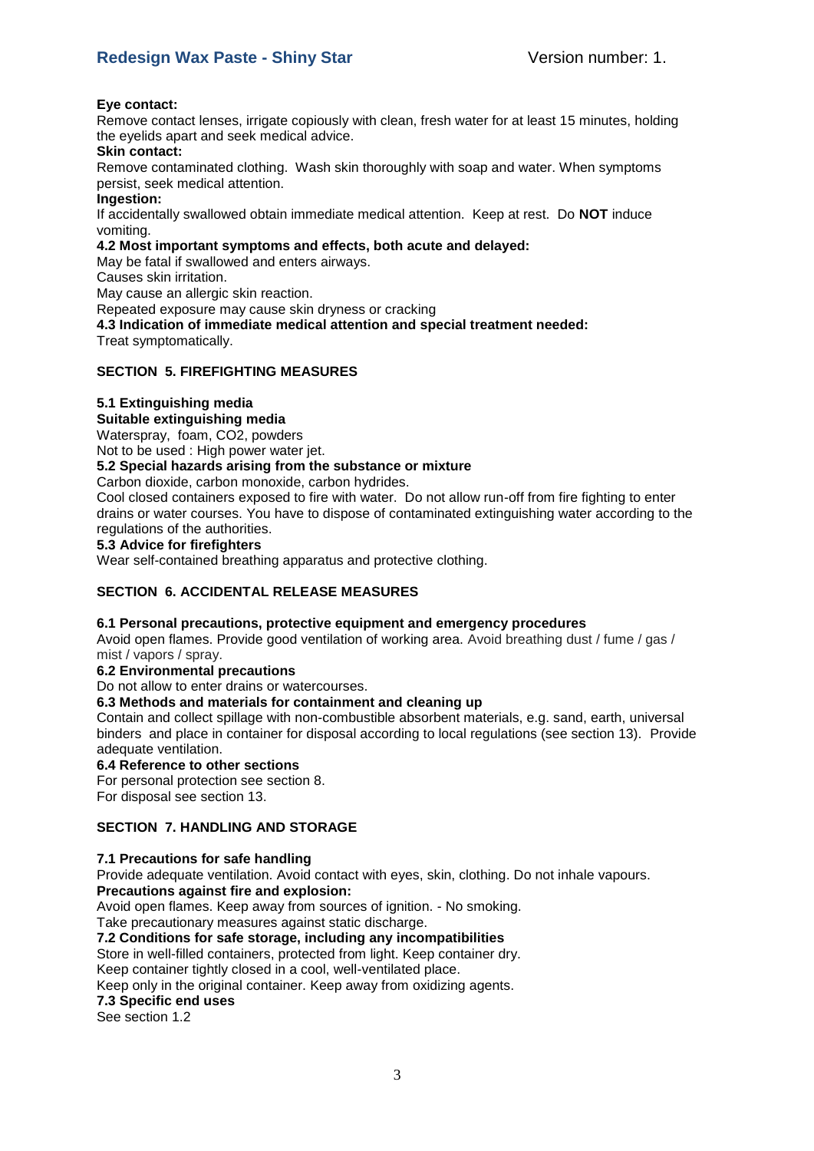#### **Eye contact:**

Remove contact lenses, irrigate copiously with clean, fresh water for at least 15 minutes, holding the eyelids apart and seek medical advice.

#### **Skin contact:**

Remove contaminated clothing. Wash skin thoroughly with soap and water. When symptoms persist, seek medical attention.

#### **Ingestion:**

If accidentally swallowed obtain immediate medical attention. Keep at rest. Do **NOT** induce vomiting.

## **4.2 Most important symptoms and effects, both acute and delayed:**

May be fatal if swallowed and enters airways.

Causes skin irritation.

May cause an allergic skin reaction.

Repeated exposure may cause skin dryness or cracking

**4.3 Indication of immediate medical attention and special treatment needed:** Treat symptomatically.

## **SECTION 5. FIREFIGHTING MEASURES**

## **5.1 Extinguishing media**

## **Suitable extinguishing media**

Waterspray, foam, CO2, powders

Not to be used : High power water jet.

## **5.2 Special hazards arising from the substance or mixture**

Carbon dioxide, carbon monoxide, carbon hydrides.

Cool closed containers exposed to fire with water. Do not allow run-off from fire fighting to enter drains or water courses. You have to dispose of contaminated extinguishing water according to the regulations of the authorities.

#### **5.3 Advice for firefighters**

Wear self-contained breathing apparatus and protective clothing.

## **SECTION 6. ACCIDENTAL RELEASE MEASURES**

## **6.1 Personal precautions, protective equipment and emergency procedures**

Avoid open flames. Provide good ventilation of working area. Avoid breathing dust / fume / gas / mist / vapors / spray.

# **6.2 Environmental precautions**

Do not allow to enter drains or watercourses.

## **6.3 Methods and materials for containment and cleaning up**

Contain and collect spillage with non-combustible absorbent materials, e.g. sand, earth, universal binders and place in container for disposal according to local regulations (see section 13). Provide adequate ventilation.

#### **6.4 Reference to other sections**

For personal protection see section 8.

For disposal see section 13.

## **SECTION 7. HANDLING AND STORAGE**

## **7.1 Precautions for safe handling**

Provide adequate ventilation. Avoid contact with eyes, skin, clothing. Do not inhale vapours.

**Precautions against fire and explosion:**

Avoid open flames. Keep away from sources of ignition. - No smoking.

Take precautionary measures against static discharge.

**7.2 Conditions for safe storage, including any incompatibilities**

Store in well-filled containers, protected from light. Keep container dry.

Keep container tightly closed in a cool, well-ventilated place.

Keep only in the original container. Keep away from oxidizing agents.

## **7.3 Specific end uses**

See section 1.2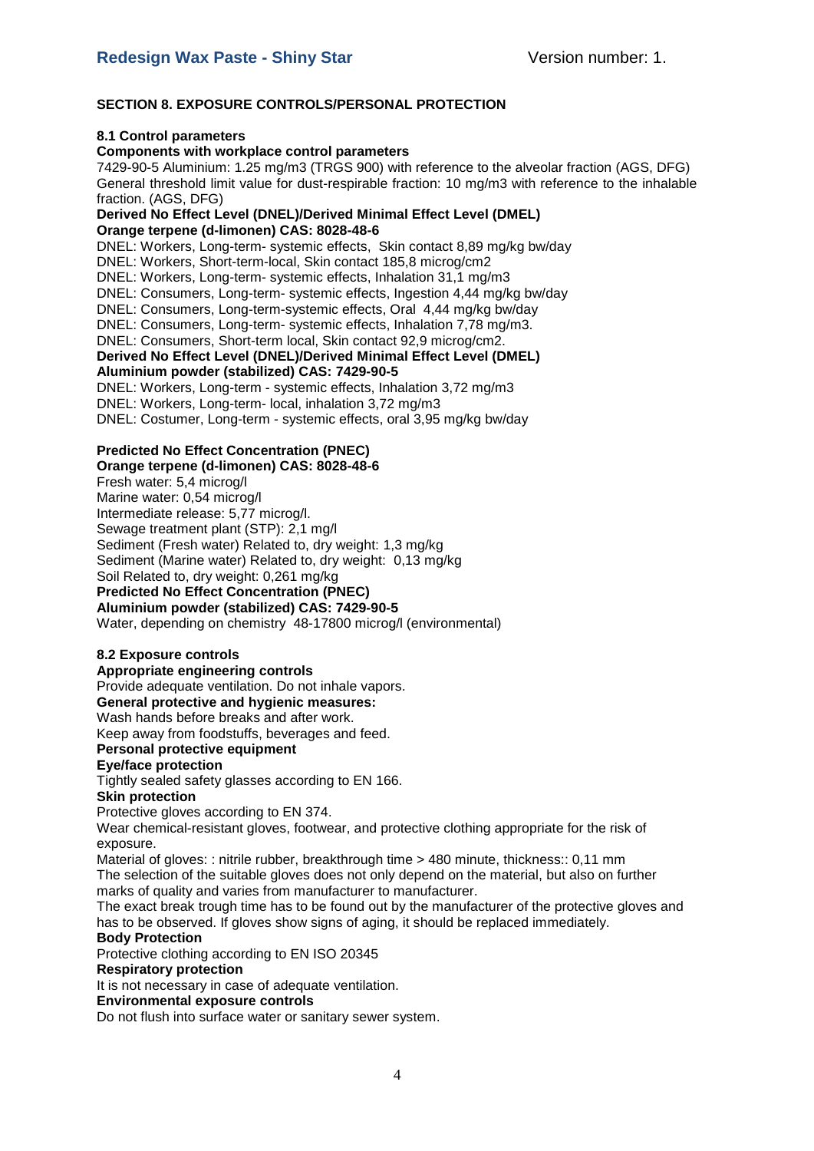## **SECTION 8. EXPOSURE CONTROLS/PERSONAL PROTECTION**

#### **8.1 Control parameters**

#### **Components with workplace control parameters**

7429-90-5 Aluminium: 1.25 mg/m3 (TRGS 900) with reference to the alveolar fraction (AGS, DFG) General threshold limit value for dust-respirable fraction: 10 mg/m3 with reference to the inhalable fraction. (AGS, DFG)

#### **Derived No Effect Level (DNEL)/Derived Minimal Effect Level (DMEL) Orange terpene (d-limonen) CAS: 8028-48-6**

DNEL: Workers, Long-term- systemic effects, Skin contact 8,89 mg/kg bw/day DNEL: Workers, Short-term-local, Skin contact 185,8 microg/cm2 DNEL: Workers, Long-term- systemic effects, Inhalation 31,1 mg/m3 DNEL: Consumers, Long-term- systemic effects, Ingestion 4,44 mg/kg bw/day DNEL: Consumers, Long-term-systemic effects, Oral 4,44 mg/kg bw/day DNEL: Consumers, Long-term- systemic effects, Inhalation 7,78 mg/m3. DNEL: Consumers, Short-term local, Skin contact 92,9 microg/cm2. **Derived No Effect Level (DNEL)/Derived Minimal Effect Level (DMEL) Aluminium powder (stabilized) CAS: 7429-90-5** DNEL: Workers, Long-term - systemic effects, Inhalation 3,72 mg/m3 DNEL: Workers, Long-term- local, inhalation 3,72 mg/m3 DNEL: Costumer, Long-term - systemic effects, oral 3,95 mg/kg bw/day

## **Predicted No Effect Concentration (PNEC)**

**Orange terpene (d-limonen) CAS: 8028-48-6**  Fresh water: 5,4 microg/l Marine water: 0,54 microg/l Intermediate release: 5,77 microg/l. Sewage treatment plant (STP): 2,1 mg/l Sediment (Fresh water) Related to, dry weight: 1,3 mg/kg Sediment (Marine water) Related to, dry weight: 0,13 mg/kg Soil Related to, dry weight: 0,261 mg/kg **Predicted No Effect Concentration (PNEC)** 

**Aluminium powder (stabilized) CAS: 7429-90-5** Water, depending on chemistry 48-17800 microg/l (environmental)

## **8.2 Exposure controls**

## **Appropriate engineering controls**

Provide adequate ventilation. Do not inhale vapors.

#### **General protective and hygienic measures:**

Wash hands before breaks and after work.

Keep away from foodstuffs, beverages and feed.

## **Personal protective equipment**

**Eye/face protection**

Tightly sealed safety glasses according to EN 166.

#### **Skin protection**

Protective gloves according to EN 374.

Wear chemical-resistant gloves, footwear, and protective clothing appropriate for the risk of exposure.

Material of gloves: : nitrile rubber, breakthrough time > 480 minute, thickness:: 0,11 mm The selection of the suitable gloves does not only depend on the material, but also on further marks of quality and varies from manufacturer to manufacturer.

The exact break trough time has to be found out by the manufacturer of the protective gloves and has to be observed. If gloves show signs of aging, it should be replaced immediately.

# **Body Protection**

Protective clothing according to EN ISO 20345

## **Respiratory protection**

It is not necessary in case of adequate ventilation.

#### **Environmental exposure controls**

Do not flush into surface water or sanitary sewer system.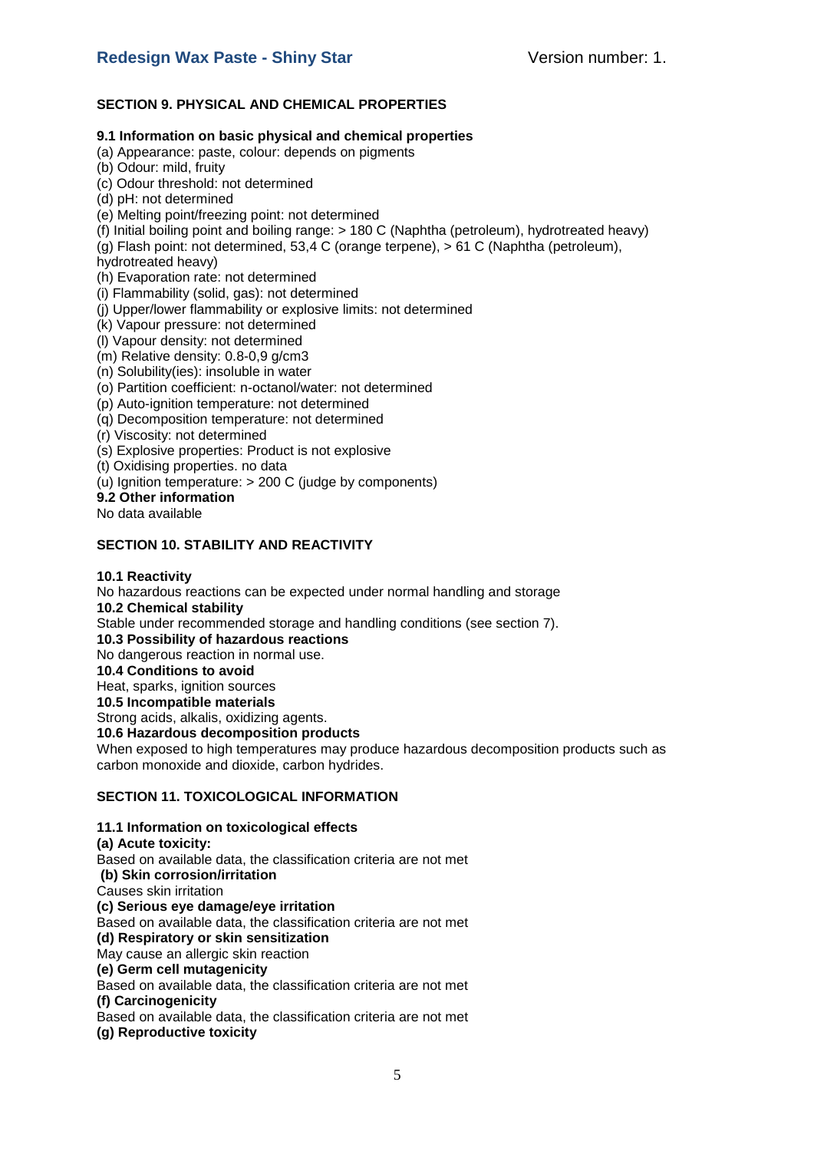## **SECTION 9. PHYSICAL AND CHEMICAL PROPERTIES**

#### **9.1 Information on basic physical and chemical properties**

(a) Appearance: paste, colour: depends on pigments

- (b) Odour: mild, fruity
- (c) Odour threshold: not determined
- (d) pH: not determined
- (e) Melting point/freezing point: not determined
- (f) Initial boiling point and boiling range: > 180 C (Naphtha (petroleum), hydrotreated heavy)
- (g) Flash point: not determined, 53,4 C (orange terpene), > 61 C (Naphtha (petroleum),
- hydrotreated heavy)
- (h) Evaporation rate: not determined
- (i) Flammability (solid, gas): not determined
- (j) Upper/lower flammability or explosive limits: not determined
- (k) Vapour pressure: not determined
- (l) Vapour density: not determined
- (m) Relative density: 0.8-0,9 g/cm3
- (n) Solubility(ies): insoluble in water
- (o) Partition coefficient: n-octanol/water: not determined
- (p) Auto-ignition temperature: not determined
- (q) Decomposition temperature: not determined
- (r) Viscosity: not determined
- (s) Explosive properties: Product is not explosive
- (t) Oxidising properties. no data
- (u) Ignition temperature: > 200 C (judge by components)
- **9.2 Other information**
- No data available

## **SECTION 10. STABILITY AND REACTIVITY**

#### **10.1 Reactivity**

No hazardous reactions can be expected under normal handling and storage **10.2 Chemical stability** Stable under recommended storage and handling conditions (see section 7). **10.3 Possibility of hazardous reactions** No dangerous reaction in normal use. **10.4 Conditions to avoid** Heat, sparks, ignition sources **10.5 Incompatible materials** Strong acids, alkalis, oxidizing agents. **10.6 Hazardous decomposition products** When exposed to high temperatures may produce hazardous decomposition products such as carbon monoxide and dioxide, carbon hydrides.

## **SECTION 11. TOXICOLOGICAL INFORMATION**

**11.1 Information on toxicological effects**

**(a) Acute toxicity:**  Based on available data, the classification criteria are not met **(b) Skin corrosion/irritation**  Causes skin irritation **(c) Serious eye damage/eye irritation**  Based on available data, the classification criteria are not met **(d) Respiratory or skin sensitization**  May cause an allergic skin reaction **(e) Germ cell mutagenicity** Based on available data, the classification criteria are not met **(f) Carcinogenicity**  Based on available data, the classification criteria are not met **(g) Reproductive toxicity**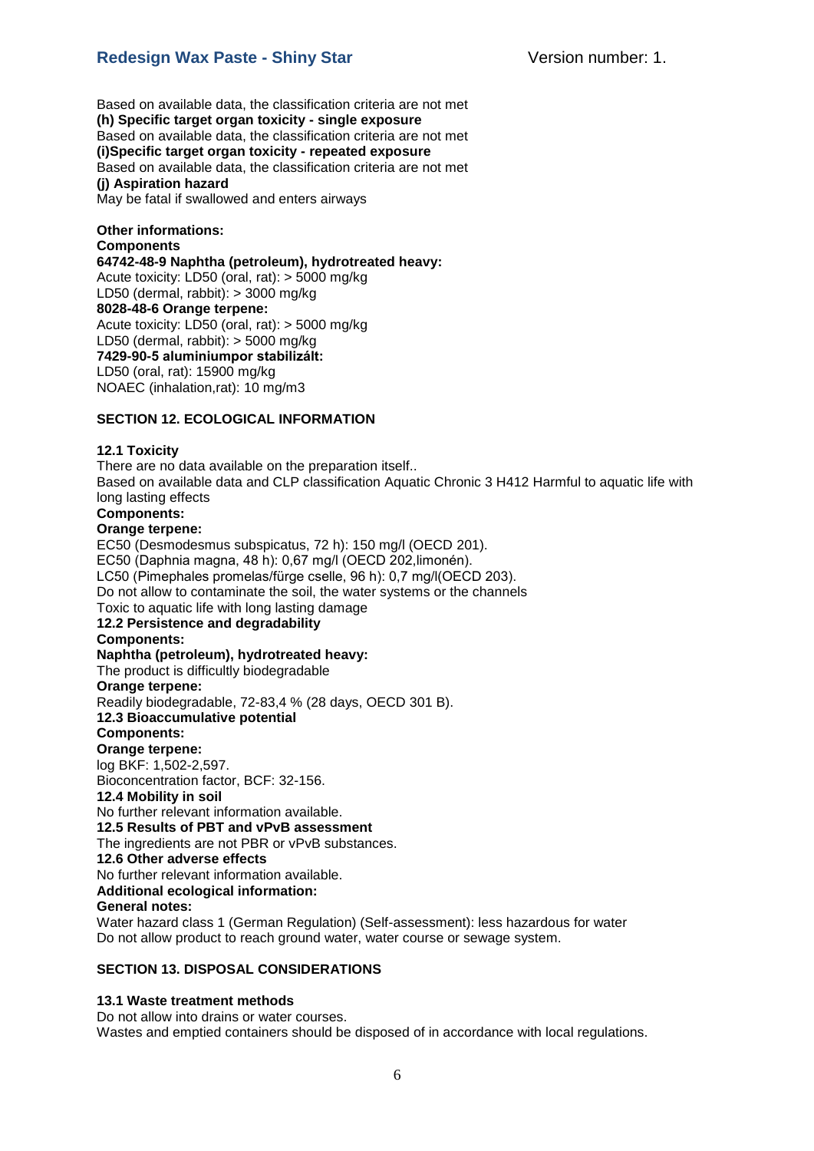# **Redesign Wax Paste - Shiny Star** Version number: 1.

Based on available data, the classification criteria are not met **(h) Specific target organ toxicity - single exposure**  Based on available data, the classification criteria are not met **(i)Specific target organ toxicity - repeated exposure**  Based on available data, the classification criteria are not met **(j) Aspiration hazard**  May be fatal if swallowed and enters airways

**Other informations: Components 64742-48-9 Naphtha (petroleum), hydrotreated heavy:** Acute toxicity: LD50 (oral, rat): > 5000 mg/kg LD50 (dermal, rabbit): > 3000 mg/kg **8028-48-6 Orange terpene:**  Acute toxicity: LD50 (oral, rat): > 5000 mg/kg LD50 (dermal, rabbit): > 5000 mg/kg **7429-90-5 aluminiumpor stabilizált:** LD50 (oral, rat): 15900 mg/kg NOAEC (inhalation,rat): 10 mg/m3

## **SECTION 12. ECOLOGICAL INFORMATION**

#### **12.1 Toxicity**

There are no data available on the preparation itself.. Based on available data and CLP classification Aquatic Chronic 3 H412 Harmful to aquatic life with long lasting effects

# **Components:**

## **Orange terpene:**

EC50 (Desmodesmus subspicatus, 72 h): 150 mg/l (OECD 201). EC50 (Daphnia magna, 48 h): 0,67 mg/l (OECD 202,limonén). LC50 (Pimephales promelas/fürge cselle, 96 h): 0,7 mg/l(OECD 203). Do not allow to contaminate the soil, the water systems or the channels Toxic to aquatic life with long lasting damage **12.2 Persistence and degradability Components: Naphtha (petroleum), hydrotreated heavy:**  The product is difficultly biodegradable **Orange terpene:**  Readily biodegradable, 72-83,4 % (28 days, OECD 301 B). **12.3 Bioaccumulative potential Components: Orange terpene:**  log BKF: 1,502-2,597. Bioconcentration factor, BCF: 32-156. **12.4 Mobility in soil**  No further relevant information available. **12.5 Results of PBT and vPvB assessment**  The ingredients are not PBR or vPvB substances. **12.6 Other adverse effects**  No further relevant information available. **Additional ecological information: General notes:**  Water hazard class 1 (German Regulation) (Self-assessment): less hazardous for water Do not allow product to reach ground water, water course or sewage system.

#### **SECTION 13. DISPOSAL CONSIDERATIONS**

#### **13.1 Waste treatment methods**

Do not allow into drains or water courses. Wastes and emptied containers should be disposed of in accordance with local regulations.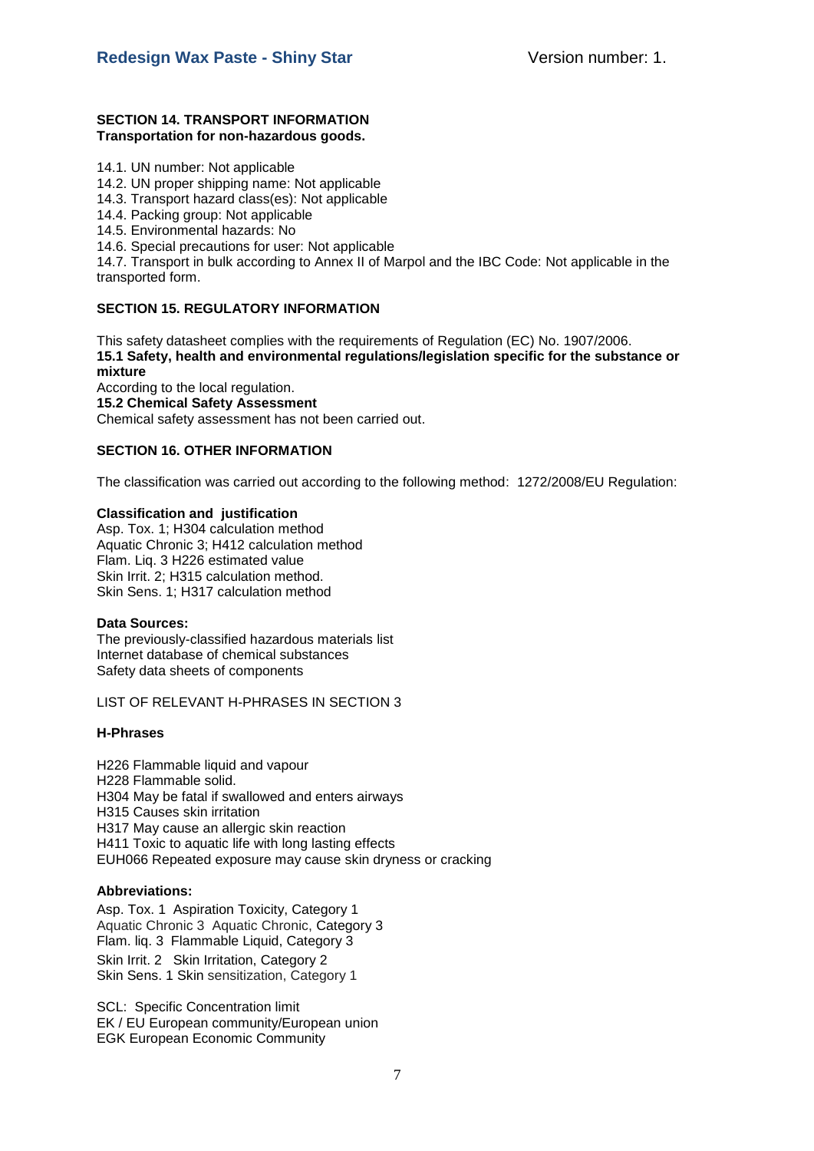#### **SECTION 14. TRANSPORT INFORMATION Transportation for non-hazardous goods.**

- 14.1. UN number: Not applicable
- 14.2. UN proper shipping name: Not applicable
- 14.3. Transport hazard class(es): Not applicable
- 14.4. Packing group: Not applicable
- 14.5. Environmental hazards: No
- 14.6. Special precautions for user: Not applicable

14.7. Transport in bulk according to Annex II of Marpol and the IBC Code: Not applicable in the transported form.

## **SECTION 15. REGULATORY INFORMATION**

This safety datasheet complies with the requirements of Regulation (EC) No. 1907/2006. **15.1 Safety, health and environmental regulations/legislation specific for the substance or mixture**

According to the local regulation. **15.2 Chemical Safety Assessment** Chemical safety assessment has not been carried out.

## **SECTION 16. OTHER INFORMATION**

The classification was carried out according to the following method: 1272/2008/EU Regulation:

#### **Classification and justification**

Asp. Tox. 1; H304 calculation method Aquatic Chronic 3; H412 calculation method Flam. Liq. 3 H226 estimated value Skin Irrit. 2; H315 calculation method. Skin Sens. 1; H317 calculation method

#### **Data Sources:**

The previously-classified hazardous materials list Internet database of chemical substances Safety data sheets of components

#### LIST OF RELEVANT H-PHRASES IN SECTION 3

## **H-Phrases**

H226 Flammable liquid and vapour H228 Flammable solid. H304 May be fatal if swallowed and enters airways H315 Causes skin irritation H317 May cause an allergic skin reaction H411 Toxic to aquatic life with long lasting effects EUH066 Repeated exposure may cause skin dryness or cracking

## **Abbreviations:**

Asp. Tox. 1 Aspiration Toxicity, Category 1 Aquatic Chronic 3 Aquatic Chronic, Category 3 Flam. liq. 3 Flammable Liquid, Category 3 Skin Irrit. 2 Skin Irritation, Category 2 Skin Sens. 1 Skin sensitization, Category 1

SCL: Specific Concentration limit EK / EU European community/European union EGK European Economic Community